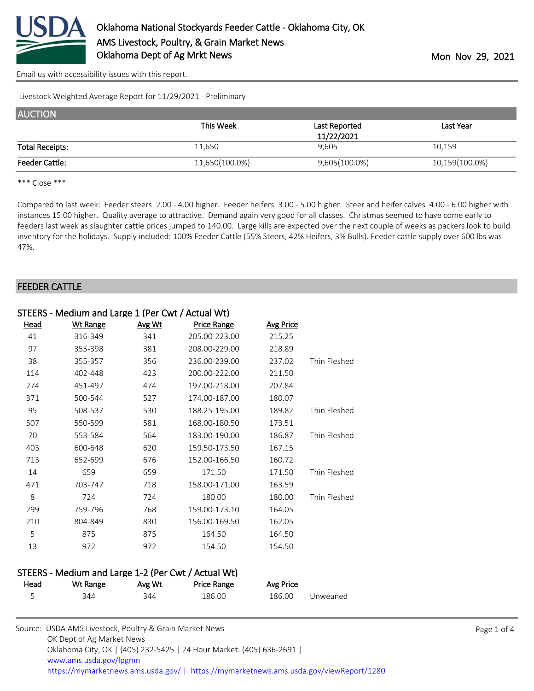

[Email us with accessibility issues with this report.](mailto:mars@ams.usda.gov?subject=508%20issue)

Livestock Weighted Average Report for 11/29/2021 - Preliminary

| <b>AUCTION</b>         |                |                             |                |
|------------------------|----------------|-----------------------------|----------------|
|                        | This Week      | Last Reported<br>11/22/2021 | Last Year      |
| <b>Total Receipts:</b> | 11,650         | 9,605                       | 10,159         |
| <b>Feeder Cattle:</b>  | 11,650(100.0%) | 9,605(100.0%)               | 10,159(100.0%) |

\*\*\* Close \*\*\*

Compared to last week: Feeder steers 2.00 - 4.00 higher. Feeder heifers 3.00 - 5.00 higher. Steer and heifer calves 4.00 - 6.00 higher with instances 15.00 higher. Quality average to attractive. Demand again very good for all classes. Christmas seemed to have come early to feeders last week as slaughter cattle prices jumped to 140.00. Large kills are expected over the next couple of weeks as packers look to build inventory for the holidays. Supply included: 100% Feeder Cattle (55% Steers, 42% Heifers, 3% Bulls). Feeder cattle supply over 600 lbs was 47%.

#### FEEDER CATTLE

| <u>Head</u> | <b>Wt Range</b> | Avg Wt | Price Range   | <b>Avg Price</b> |              |
|-------------|-----------------|--------|---------------|------------------|--------------|
| 41          | 316-349         | 341    | 205.00-223.00 | 215.25           |              |
| 97          | 355-398         | 381    | 208.00-229.00 | 218.89           |              |
| 38          | 355-357         | 356    | 236.00-239.00 | 237.02           | Thin Fleshed |
| 114         | 402-448         | 423    | 200.00-222.00 | 211.50           |              |
| 274         | 451-497         | 474    | 197.00-218.00 | 207.84           |              |
| 371         | 500-544         | 527    | 174.00-187.00 | 180.07           |              |
| 95          | 508-537         | 530    | 188.25-195.00 | 189.82           | Thin Fleshed |
| 507         | 550-599         | 581    | 168.00-180.50 | 173.51           |              |
| 70          | 553-584         | 564    | 183.00-190.00 | 186.87           | Thin Fleshed |
| 403         | 600-648         | 620    | 159.50-173.50 | 167.15           |              |
| 713         | 652-699         | 676    | 152.00-166.50 | 160.72           |              |
| 14          | 659             | 659    | 171.50        | 171.50           | Thin Fleshed |
| 471         | 703-747         | 718    | 158.00-171.00 | 163.59           |              |
| 8           | 724             | 724    | 180.00        | 180.00           | Thin Fleshed |
| 299         | 759-796         | 768    | 159.00-173.10 | 164.05           |              |
| 210         | 804-849         | 830    | 156.00-169.50 | 162.05           |              |
| 5           | 875             | 875    | 164.50        | 164.50           |              |
| 13          | 972             | 972    | 154.50        | 154.50           |              |
|             |                 |        |               |                  |              |

#### STEERS - Medium and Large 1-2 (Per Cwt / Actual Wt)

| <u>Head</u> | Wt Range | <u>Avg Wt</u> | <b>Price Range</b> | Avg Price |          |
|-------------|----------|---------------|--------------------|-----------|----------|
|             | 344      | 344           | 186.00             | 186.00    | Unweaned |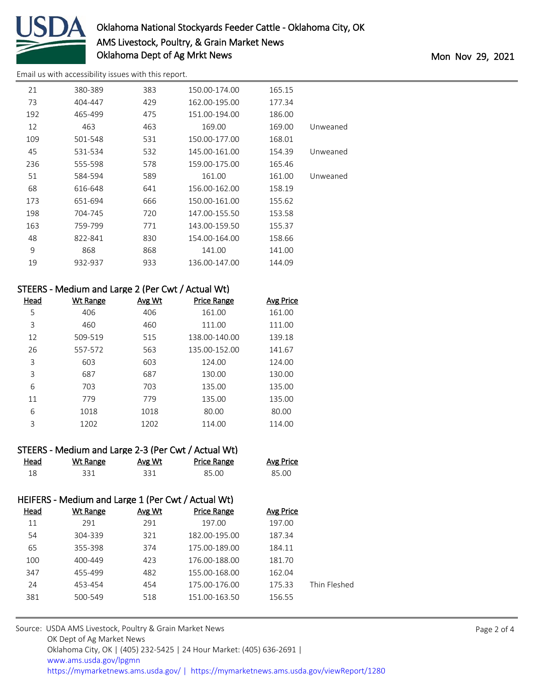

# Oklahoma National Stockyards Feeder Cattle - Oklahoma City, OK AMS Livestock, Poultry, & Grain Market News Oklahoma Dept of Ag Mrkt News and the Monte of Age Monte Control of Age Monte Control of Age Monte Control of Mon

[Email us with accessibility issues with this report.](mailto:mars@ams.usda.gov?subject=508%20issue)

| 21  | 380-389 | 383 | 150.00-174.00 | 165.15 |          |
|-----|---------|-----|---------------|--------|----------|
| 73  | 404-447 | 429 | 162.00-195.00 | 177.34 |          |
| 192 | 465-499 | 475 | 151.00-194.00 | 186.00 |          |
| 12  | 463     | 463 | 169.00        | 169.00 | Unweaned |
| 109 | 501-548 | 531 | 150.00-177.00 | 168.01 |          |
| 45  | 531-534 | 532 | 145.00-161.00 | 154.39 | Unweaned |
| 236 | 555-598 | 578 | 159.00-175.00 | 165.46 |          |
| 51  | 584-594 | 589 | 161.00        | 161.00 | Unweaned |
| 68  | 616-648 | 641 | 156.00-162.00 | 158.19 |          |
| 173 | 651-694 | 666 | 150.00-161.00 | 155.62 |          |
| 198 | 704-745 | 720 | 147.00-155.50 | 153.58 |          |
| 163 | 759-799 | 771 | 143.00-159.50 | 155.37 |          |
| 48  | 822-841 | 830 | 154.00-164.00 | 158.66 |          |
| 9   | 868     | 868 | 141.00        | 141.00 |          |
| 19  | 932-937 | 933 | 136.00-147.00 | 144.09 |          |

## STEERS - Medium and Large 2 (Per Cwt / Actual Wt)

| Head | <b>Wt Range</b> | Avg Wt | <b>Price Range</b> | <b>Avg Price</b> |
|------|-----------------|--------|--------------------|------------------|
| 5    | 406             | 406    | 161.00             | 161.00           |
| 3    | 460             | 460    | 111.00             | 111.00           |
| 12   | 509-519         | 515    | 138.00-140.00      | 139.18           |
| 26   | 557-572         | 563    | 135.00-152.00      | 141.67           |
| 3    | 603             | 603    | 124.00             | 124.00           |
| 3    | 687             | 687    | 130.00             | 130.00           |
| 6    | 703             | 703    | 135.00             | 135.00           |
| 11   | 779             | 779    | 135.00             | 135.00           |
| 6    | 1018            | 1018   | 80.00              | 80.00            |
| 3    | 1202            | 1202   | 114.00             | 114.00           |

| STEERS - Medium and Large 2-3 (Per Cwt / Actual Wt) |          |        |                    |                  |
|-----------------------------------------------------|----------|--------|--------------------|------------------|
| Head                                                | Wt Range | Avg Wt | <b>Price Range</b> | <b>Avg Price</b> |
| 18                                                  | 331      | 331    | 85.00              | 85.00            |

## HEIFERS - Medium and Large 1 (Per Cwt / Actual Wt)

| Head | Wt Range | Avg Wt | <b>Price Range</b> | Avg Price |              |
|------|----------|--------|--------------------|-----------|--------------|
| 11   | 291      | 291    | 197.00             | 197.00    |              |
| 54   | 304-339  | 321    | 182.00-195.00      | 187.34    |              |
| 65   | 355-398  | 374    | 175.00-189.00      | 184.11    |              |
| 100  | 400-449  | 423    | 176.00-188.00      | 181.70    |              |
| 347  | 455-499  | 482    | 155.00-168.00      | 162.04    |              |
| 24   | 453-454  | 454    | 175.00-176.00      | 175.33    | Thin Fleshed |
| 381  | 500-549  | 518    | 151.00-163.50      | 156.55    |              |
|      |          |        |                    |           |              |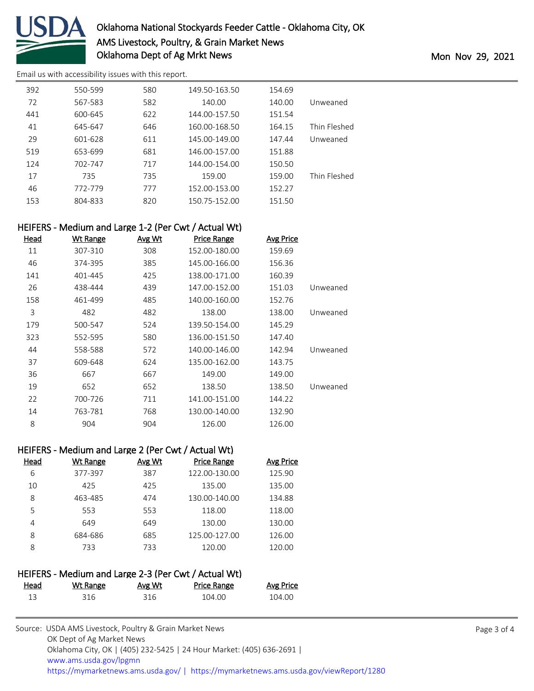

[Email us with accessibility issues with this report.](mailto:mars@ams.usda.gov?subject=508%20issue)

| 392 | 550-599 | 580 | 149.50-163.50 | 154.69 |              |
|-----|---------|-----|---------------|--------|--------------|
| 72  | 567-583 | 582 | 140.00        | 140.00 | Unweaned     |
| 441 | 600-645 | 622 | 144.00-157.50 | 151.54 |              |
| 41  | 645-647 | 646 | 160.00-168.50 | 164.15 | Thin Fleshed |
| 29  | 601-628 | 611 | 145.00-149.00 | 147.44 | Unweaned     |
| 519 | 653-699 | 681 | 146.00-157.00 | 151.88 |              |
| 124 | 702-747 | 717 | 144.00-154.00 | 150.50 |              |
| 17  | 735     | 735 | 159.00        | 159.00 | Thin Fleshed |
| 46  | 772-779 | 777 | 152.00-153.00 | 152.27 |              |
| 153 | 804-833 | 820 | 150.75-152.00 | 151.50 |              |
|     |         |     |               |        |              |

## HEIFERS - Medium and Large 1-2 (Per Cwt / Actual Wt)

| Head | <b>Wt Range</b> | Avg Wt | <b>Price Range</b> | <b>Avg Price</b> |          |
|------|-----------------|--------|--------------------|------------------|----------|
| 11   | 307-310         | 308    | 152.00-180.00      | 159.69           |          |
| 46   | 374-395         | 385    | 145.00-166.00      | 156.36           |          |
| 141  | 401-445         | 425    | 138.00-171.00      | 160.39           |          |
| 26   | 438-444         | 439    | 147.00-152.00      | 151.03           | Unweaned |
| 158  | 461-499         | 485    | 140.00-160.00      | 152.76           |          |
| 3    | 482             | 482    | 138.00             | 138.00           | Unweaned |
| 179  | 500-547         | 524    | 139.50-154.00      | 145.29           |          |
| 323  | 552-595         | 580    | 136.00-151.50      | 147.40           |          |
| 44   | 558-588         | 572    | 140.00-146.00      | 142.94           | Unweaned |
| 37   | 609-648         | 624    | 135.00-162.00      | 143.75           |          |
| 36   | 667             | 667    | 149.00             | 149.00           |          |
| 19   | 652             | 652    | 138.50             | 138.50           | Unweaned |
| 22   | 700-726         | 711    | 141.00-151.00      | 144.22           |          |
| 14   | 763-781         | 768    | 130.00-140.00      | 132.90           |          |
| 8    | 904             | 904    | 126.00             | 126.00           |          |

#### HEIFERS - Medium and Large 2 (Per Cwt / Actual Wt)

| Head | Wt Range | Avg Wt | <b>Price Range</b> | <b>Avg Price</b> |
|------|----------|--------|--------------------|------------------|
| 6    | 377-397  | 387    | 122.00-130.00      | 125.90           |
| 10   | 425      | 425    | 135.00             | 135.00           |
| 8    | 463-485  | 474    | 130.00-140.00      | 134.88           |
| 5    | 553      | 553    | 118.00             | 118.00           |
| 4    | 649      | 649    | 130.00             | 130.00           |
| 8    | 684-686  | 685    | 125.00-127.00      | 126.00           |
| 8    | 733      | 733    | 120.00             | 120.00           |

## HEIFERS - Medium and Large 2-3 (Per Cwt / Actual Wt)

| <u>Head</u> | <u>Wt Range</u> | Avg Wt | <b>Price Range</b> | <u>Avg Price</u> |
|-------------|-----------------|--------|--------------------|------------------|
|             | 316             | 316    | 104.00             | 104.00           |